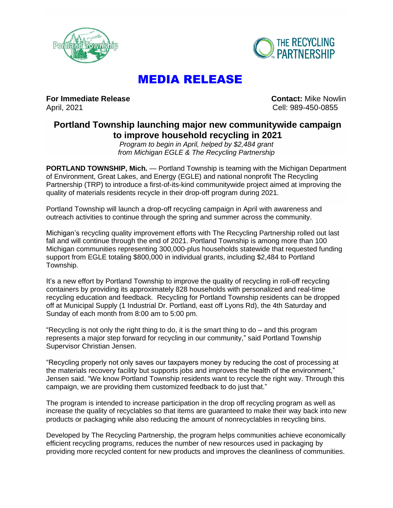



## MEDIA RELEASE

**For Immediate Release Contact: Mike Nowlin** April, 2021 Cell: 989-450-0855

## **Portland Township launching major new communitywide campaign to improve household recycling in 2021**

*Program to begin in April, helped by \$2,484 grant from Michigan EGLE & The Recycling Partnership*

**PORTLAND TOWNSHIP, Mich.** — Portland Township is teaming with the Michigan Department of Environment, Great Lakes, and Energy (EGLE) and national nonprofit The Recycling Partnership (TRP) to introduce a first-of-its-kind communitywide project aimed at improving the quality of materials residents recycle in their drop-off program during 2021.

Portland Township will launch a drop-off recycling campaign in April with awareness and outreach activities to continue through the spring and summer across the community.

Michigan's recycling quality improvement efforts with The Recycling Partnership rolled out last fall and will continue through the end of 2021. Portland Township is among more than 100 Michigan communities representing 300,000-plus households statewide that requested funding support from EGLE totaling \$800,000 in individual grants, including \$2,484 to Portland Township.

It's a new effort by Portland Township to improve the quality of recycling in roll-off recycling containers by providing its approximately 828 households with personalized and real-time recycling education and feedback. Recycling for Portland Township residents can be dropped off at Municipal Supply (1 Industrial Dr. Portland, east off Lyons Rd), the 4th Saturday and Sunday of each month from 8:00 am to 5:00 pm.

"Recycling is not only the right thing to do, it is the smart thing to do – and this program represents a major step forward for recycling in our community," said Portland Township Supervisor Christian Jensen.

"Recycling properly not only saves our taxpayers money by reducing the cost of processing at the materials recovery facility but supports jobs and improves the health of the environment," Jensen said. "We know Portland Township residents want to recycle the right way. Through this campaign, we are providing them customized feedback to do just that."

The program is intended to increase participation in the drop off recycling program as well as increase the quality of recyclables so that items are guaranteed to make their way back into new products or packaging while also reducing the amount of nonrecyclables in recycling bins.

Developed by The Recycling Partnership, the program helps communities achieve economically efficient recycling programs, reduces the number of new resources used in packaging by providing more recycled content for new products and improves the cleanliness of communities.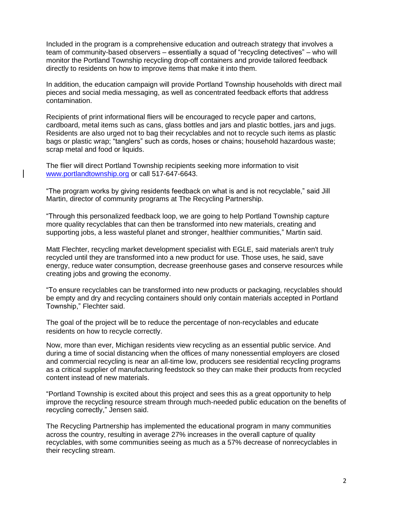Included in the program is a comprehensive education and outreach strategy that involves a team of community-based observers – essentially a squad of "recycling detectives" – who will monitor the Portland Township recycling drop-off containers and provide tailored feedback directly to residents on how to improve items that make it into them.

In addition, the education campaign will provide Portland Township households with direct mail pieces and social media messaging, as well as concentrated feedback efforts that address contamination.

Recipients of print informational fliers will be encouraged to recycle paper and cartons, cardboard, metal items such as cans, glass bottles and jars and plastic bottles, jars and jugs. Residents are also urged not to bag their recyclables and not to recycle such items as plastic bags or plastic wrap; "tanglers" such as cords, hoses or chains; household hazardous waste; scrap metal and food or liquids.

The flier will direct Portland Township recipients seeking more information to visit [www.portlandtownship.org](http://www.portlandtownship.org/) or call 517-647-6643.

"The program works by giving residents feedback on what is and is not recyclable," said Jill Martin, director of community programs at The Recycling Partnership.

"Through this personalized feedback loop, we are going to help Portland Township capture more quality recyclables that can then be transformed into new materials, creating and supporting jobs, a less wasteful planet and stronger, healthier communities," Martin said.

Matt Flechter, recycling market development specialist with EGLE, said materials aren't truly recycled until they are transformed into a new product for use. Those uses, he said, save energy, reduce water consumption, decrease greenhouse gases and conserve resources while creating jobs and growing the economy.

"To ensure recyclables can be transformed into new products or packaging, recyclables should be empty and dry and recycling containers should only contain materials accepted in Portland Township," Flechter said.

The goal of the project will be to reduce the percentage of non-recyclables and educate residents on how to recycle correctly.

Now, more than ever, Michigan residents view recycling as an essential public service. And during a time of social distancing when the offices of many nonessential employers are closed and commercial recycling is near an all-time low, producers see residential recycling programs as a critical supplier of manufacturing feedstock so they can make their products from recycled content instead of new materials.

"Portland Township is excited about this project and sees this as a great opportunity to help improve the recycling resource stream through much-needed public education on the benefits of recycling correctly," Jensen said.

The Recycling Partnership has implemented the educational program in many communities across the country, resulting in average 27% increases in the overall capture of quality recyclables, with some communities seeing as much as a 57% decrease of nonrecyclables in their recycling stream.